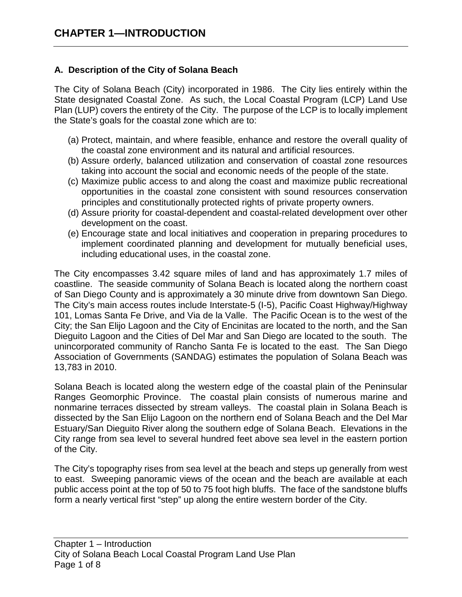## **A. Description of the City of Solana Beach**

The City of Solana Beach (City) incorporated in 1986. The City lies entirely within the State designated Coastal Zone. As such, the Local Coastal Program (LCP) Land Use Plan (LUP) covers the entirety of the City. The purpose of the LCP is to locally implement the State's goals for the coastal zone which are to:

- (a) Protect, maintain, and where feasible, enhance and restore the overall quality of the coastal zone environment and its natural and artificial resources.
- (b) Assure orderly, balanced utilization and conservation of coastal zone resources taking into account the social and economic needs of the people of the state.
- (c) Maximize public access to and along the coast and maximize public recreational opportunities in the coastal zone consistent with sound resources conservation principles and constitutionally protected rights of private property owners.
- (d) Assure priority for coastal-dependent and coastal-related development over other development on the coast.
- (e) Encourage state and local initiatives and cooperation in preparing procedures to implement coordinated planning and development for mutually beneficial uses, including educational uses, in the coastal zone.

The City encompasses 3.42 square miles of land and has approximately 1.7 miles of coastline. The seaside community of Solana Beach is located along the northern coast of San Diego County and is approximately a 30 minute drive from downtown San Diego. The City's main access routes include Interstate-5 (I-5), Pacific Coast Highway/Highway 101, Lomas Santa Fe Drive, and Via de la Valle. The Pacific Ocean is to the west of the City; the San Elijo Lagoon and the City of Encinitas are located to the north, and the San Dieguito Lagoon and the Cities of Del Mar and San Diego are located to the south. The unincorporated community of Rancho Santa Fe is located to the east. The San Diego Association of Governments (SANDAG) estimates the population of Solana Beach was 13,783 in 2010.

Solana Beach is located along the western edge of the coastal plain of the Peninsular Ranges Geomorphic Province. The coastal plain consists of numerous marine and nonmarine terraces dissected by stream valleys. The coastal plain in Solana Beach is dissected by the San Elijo Lagoon on the northern end of Solana Beach and the Del Mar Estuary/San Dieguito River along the southern edge of Solana Beach. Elevations in the City range from sea level to several hundred feet above sea level in the eastern portion of the City.

The City's topography rises from sea level at the beach and steps up generally from west to east. Sweeping panoramic views of the ocean and the beach are available at each public access point at the top of 50 to 75 foot high bluffs. The face of the sandstone bluffs form a nearly vertical first "step" up along the entire western border of the City.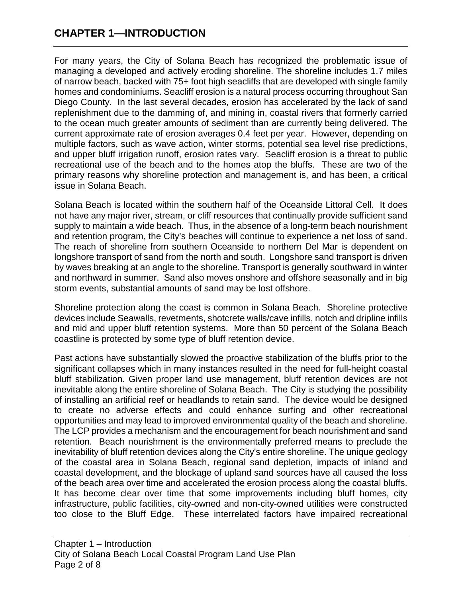# **CHAPTER 1—INTRODUCTION**

For many years, the City of Solana Beach has recognized the problematic issue of managing a developed and actively eroding shoreline. The shoreline includes 1.7 miles of narrow beach, backed with 75+ foot high seacliffs that are developed with single family homes and condominiums. Seacliff erosion is a natural process occurring throughout San Diego County. In the last several decades, erosion has accelerated by the lack of sand replenishment due to the damming of, and mining in, coastal rivers that formerly carried to the ocean much greater amounts of sediment than are currently being delivered. The current approximate rate of erosion averages 0.4 feet per year. However, depending on multiple factors, such as wave action, winter storms, potential sea level rise predictions, and upper bluff irrigation runoff, erosion rates vary. Seacliff erosion is a threat to public recreational use of the beach and to the homes atop the bluffs. These are two of the primary reasons why shoreline protection and management is, and has been, a critical issue in Solana Beach.

Solana Beach is located within the southern half of the Oceanside Littoral Cell. It does not have any major river, stream, or cliff resources that continually provide sufficient sand supply to maintain a wide beach. Thus, in the absence of a long-term beach nourishment and retention program, the City's beaches will continue to experience a net loss of sand. The reach of shoreline from southern Oceanside to northern Del Mar is dependent on longshore transport of sand from the north and south. Longshore sand transport is driven by waves breaking at an angle to the shoreline. Transport is generally southward in winter and northward in summer. Sand also moves onshore and offshore seasonally and in big storm events, substantial amounts of sand may be lost offshore.

Shoreline protection along the coast is common in Solana Beach. Shoreline protective devices include Seawalls, revetments, shotcrete walls/cave infills, notch and dripline infills and mid and upper bluff retention systems. More than 50 percent of the Solana Beach coastline is protected by some type of bluff retention device.

Past actions have substantially slowed the proactive stabilization of the bluffs prior to the significant collapses which in many instances resulted in the need for full-height coastal bluff stabilization. Given proper land use management, bluff retention devices are not inevitable along the entire shoreline of Solana Beach. The City is studying the possibility of installing an artificial reef or headlands to retain sand. The device would be designed to create no adverse effects and could enhance surfing and other recreational opportunities and may lead to improved environmental quality of the beach and shoreline. The LCP provides a mechanism and the encouragement for beach nourishment and sand retention. Beach nourishment is the environmentally preferred means to preclude the inevitability of bluff retention devices along the City's entire shoreline. The unique geology of the coastal area in Solana Beach, regional sand depletion, impacts of inland and coastal development, and the blockage of upland sand sources have all caused the loss of the beach area over time and accelerated the erosion process along the coastal bluffs. It has become clear over time that some improvements including bluff homes, city infrastructure, public facilities, city-owned and non-city-owned utilities were constructed too close to the Bluff Edge. These interrelated factors have impaired recreational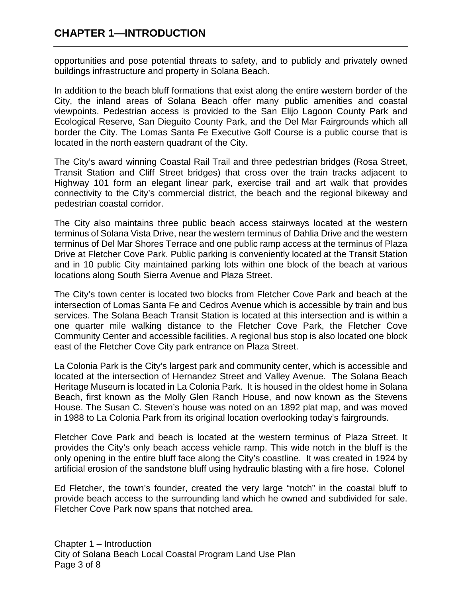opportunities and pose potential threats to safety, and to publicly and privately owned buildings infrastructure and property in Solana Beach.

In addition to the beach bluff formations that exist along the entire western border of the City, the inland areas of Solana Beach offer many public amenities and coastal viewpoints. Pedestrian access is provided to the San Elijo Lagoon County Park and Ecological Reserve, San Dieguito County Park, and the Del Mar Fairgrounds which all border the City. The Lomas Santa Fe Executive Golf Course is a public course that is located in the north eastern quadrant of the City.

The City's award winning Coastal Rail Trail and three pedestrian bridges (Rosa Street, Transit Station and Cliff Street bridges) that cross over the train tracks adjacent to Highway 101 form an elegant linear park, exercise trail and art walk that provides connectivity to the City's commercial district, the beach and the regional bikeway and pedestrian coastal corridor.

The City also maintains three public beach access stairways located at the western terminus of Solana Vista Drive, near the western terminus of Dahlia Drive and the western terminus of Del Mar Shores Terrace and one public ramp access at the terminus of Plaza Drive at Fletcher Cove Park. Public parking is conveniently located at the Transit Station and in 10 public City maintained parking lots within one block of the beach at various locations along South Sierra Avenue and Plaza Street.

The City's town center is located two blocks from Fletcher Cove Park and beach at the intersection of Lomas Santa Fe and Cedros Avenue which is accessible by train and bus services. The Solana Beach Transit Station is located at this intersection and is within a one quarter mile walking distance to the Fletcher Cove Park, the Fletcher Cove Community Center and accessible facilities. A regional bus stop is also located one block east of the Fletcher Cove City park entrance on Plaza Street.

La Colonia Park is the City's largest park and community center, which is accessible and located at the intersection of Hernandez Street and Valley Avenue. The Solana Beach Heritage Museum is located in La Colonia Park. It is housed in the oldest home in Solana Beach, first known as the Molly Glen Ranch House, and now known as the Stevens House. The Susan C. Steven's house was noted on an 1892 plat map, and was moved in 1988 to La Colonia Park from its original location overlooking today's fairgrounds.

Fletcher Cove Park and beach is located at the western terminus of Plaza Street. It provides the City's only beach access vehicle ramp. This wide notch in the bluff is the only opening in the entire bluff face along the City's coastline. It was created in 1924 by artificial erosion of the sandstone bluff using hydraulic blasting with a fire hose. Colonel

Ed Fletcher, the town's founder, created the very large "notch" in the coastal bluff to provide beach access to the surrounding land which he owned and subdivided for sale. Fletcher Cove Park now spans that notched area.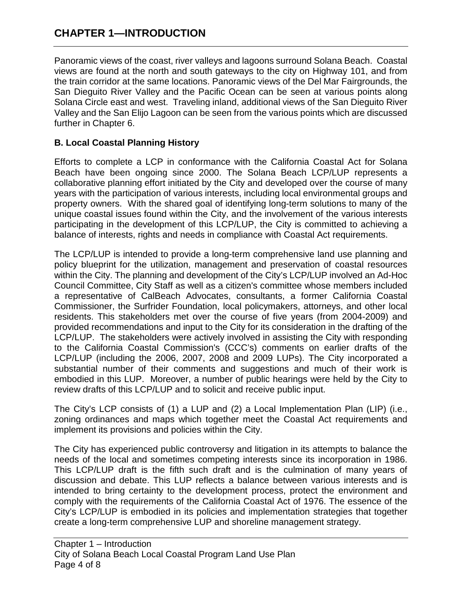# **CHAPTER 1—INTRODUCTION**

Panoramic views of the coast, river valleys and lagoons surround Solana Beach. Coastal views are found at the north and south gateways to the city on Highway 101, and from the train corridor at the same locations. Panoramic views of the Del Mar Fairgrounds, the San Dieguito River Valley and the Pacific Ocean can be seen at various points along Solana Circle east and west. Traveling inland, additional views of the San Dieguito River Valley and the San Elijo Lagoon can be seen from the various points which are discussed further in Chapter 6.

## **B. Local Coastal Planning History**

Efforts to complete a LCP in conformance with the California Coastal Act for Solana Beach have been ongoing since 2000. The Solana Beach LCP/LUP represents a collaborative planning effort initiated by the City and developed over the course of many years with the participation of various interests, including local environmental groups and property owners. With the shared goal of identifying long-term solutions to many of the unique coastal issues found within the City, and the involvement of the various interests participating in the development of this LCP/LUP, the City is committed to achieving a balance of interests, rights and needs in compliance with Coastal Act requirements.

The LCP/LUP is intended to provide a long-term comprehensive land use planning and policy blueprint for the utilization, management and preservation of coastal resources within the City. The planning and development of the City's LCP/LUP involved an Ad-Hoc Council Committee, City Staff as well as a citizen's committee whose members included a representative of CalBeach Advocates, consultants, a former California Coastal Commissioner, the Surfrider Foundation, local policymakers, attorneys, and other local residents. This stakeholders met over the course of five years (from 2004-2009) and provided recommendations and input to the City for its consideration in the drafting of the LCP/LUP. The stakeholders were actively involved in assisting the City with responding to the California Coastal Commission's (CCC's) comments on earlier drafts of the LCP/LUP (including the 2006, 2007, 2008 and 2009 LUPs). The City incorporated a substantial number of their comments and suggestions and much of their work is embodied in this LUP. Moreover, a number of public hearings were held by the City to review drafts of this LCP/LUP and to solicit and receive public input.

The City's LCP consists of (1) a LUP and (2) a Local Implementation Plan (LIP) (i.e., zoning ordinances and maps which together meet the Coastal Act requirements and implement its provisions and policies within the City.

The City has experienced public controversy and litigation in its attempts to balance the needs of the local and sometimes competing interests since its incorporation in 1986. This LCP/LUP draft is the fifth such draft and is the culmination of many years of discussion and debate. This LUP reflects a balance between various interests and is intended to bring certainty to the development process, protect the environment and comply with the requirements of the California Coastal Act of 1976. The essence of the City's LCP/LUP is embodied in its policies and implementation strategies that together create a long-term comprehensive LUP and shoreline management strategy.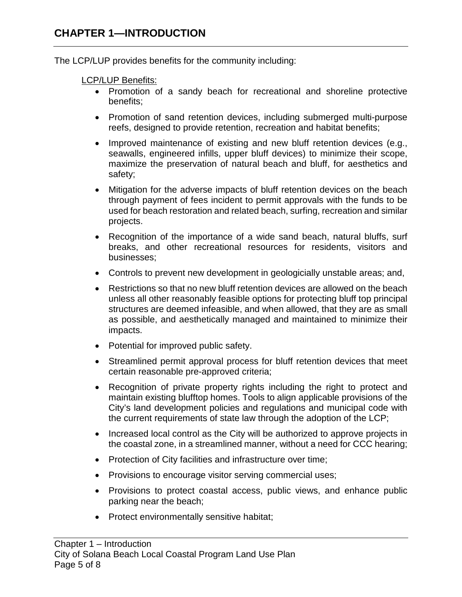The LCP/LUP provides benefits for the community including:

#### LCP/LUP Benefits:

- Promotion of a sandy beach for recreational and shoreline protective benefits;
- Promotion of sand retention devices, including submerged multi-purpose reefs, designed to provide retention, recreation and habitat benefits;
- Improved maintenance of existing and new bluff retention devices (e.g., seawalls, engineered infills, upper bluff devices) to minimize their scope, maximize the preservation of natural beach and bluff, for aesthetics and safety;
- Mitigation for the adverse impacts of bluff retention devices on the beach through payment of fees incident to permit approvals with the funds to be used for beach restoration and related beach, surfing, recreation and similar projects.
- Recognition of the importance of a wide sand beach, natural bluffs, surf breaks, and other recreational resources for residents, visitors and businesses;
- Controls to prevent new development in geologicially unstable areas; and,
- Restrictions so that no new bluff retention devices are allowed on the beach unless all other reasonably feasible options for protecting bluff top principal structures are deemed infeasible, and when allowed, that they are as small as possible, and aesthetically managed and maintained to minimize their impacts.
- Potential for improved public safety.
- Streamlined permit approval process for bluff retention devices that meet certain reasonable pre-approved criteria;
- Recognition of private property rights including the right to protect and maintain existing blufftop homes. Tools to align applicable provisions of the City's land development policies and regulations and municipal code with the current requirements of state law through the adoption of the LCP;
- Increased local control as the City will be authorized to approve projects in the coastal zone, in a streamlined manner, without a need for CCC hearing;
- Protection of City facilities and infrastructure over time;
- Provisions to encourage visitor serving commercial uses;
- Provisions to protect coastal access, public views, and enhance public parking near the beach;
- Protect environmentally sensitive habitat;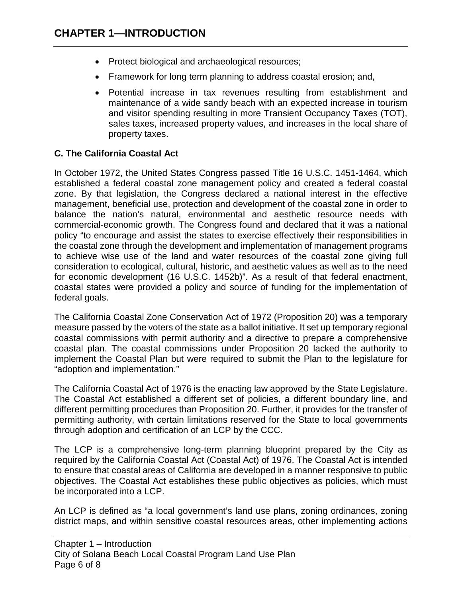- Protect biological and archaeological resources;
- Framework for long term planning to address coastal erosion; and,
- Potential increase in tax revenues resulting from establishment and maintenance of a wide sandy beach with an expected increase in tourism and visitor spending resulting in more Transient Occupancy Taxes (TOT), sales taxes, increased property values, and increases in the local share of property taxes.

### **C. The California Coastal Act**

In October 1972, the United States Congress passed Title 16 U.S.C. 1451-1464, which established a federal coastal zone management policy and created a federal coastal zone. By that legislation, the Congress declared a national interest in the effective management, beneficial use, protection and development of the coastal zone in order to balance the nation's natural, environmental and aesthetic resource needs with commercial-economic growth. The Congress found and declared that it was a national policy "to encourage and assist the states to exercise effectively their responsibilities in the coastal zone through the development and implementation of management programs to achieve wise use of the land and water resources of the coastal zone giving full consideration to ecological, cultural, historic, and aesthetic values as well as to the need for economic development (16 U.S.C. 1452b)". As a result of that federal enactment, coastal states were provided a policy and source of funding for the implementation of federal goals.

The California Coastal Zone Conservation Act of 1972 (Proposition 20) was a temporary measure passed by the voters of the state as a ballot initiative. It set up temporary regional coastal commissions with permit authority and a directive to prepare a comprehensive coastal plan. The coastal commissions under Proposition 20 lacked the authority to implement the Coastal Plan but were required to submit the Plan to the legislature for "adoption and implementation."

The California Coastal Act of 1976 is the enacting law approved by the State Legislature. The Coastal Act established a different set of policies, a different boundary line, and different permitting procedures than Proposition 20. Further, it provides for the transfer of permitting authority, with certain limitations reserved for the State to local governments through adoption and certification of an LCP by the CCC.

The LCP is a comprehensive long-term planning blueprint prepared by the City as required by the California Coastal Act (Coastal Act) of 1976. The Coastal Act is intended to ensure that coastal areas of California are developed in a manner responsive to public objectives. The Coastal Act establishes these public objectives as policies, which must be incorporated into a LCP.

An LCP is defined as "a local government's land use plans, zoning ordinances, zoning district maps, and within sensitive coastal resources areas, other implementing actions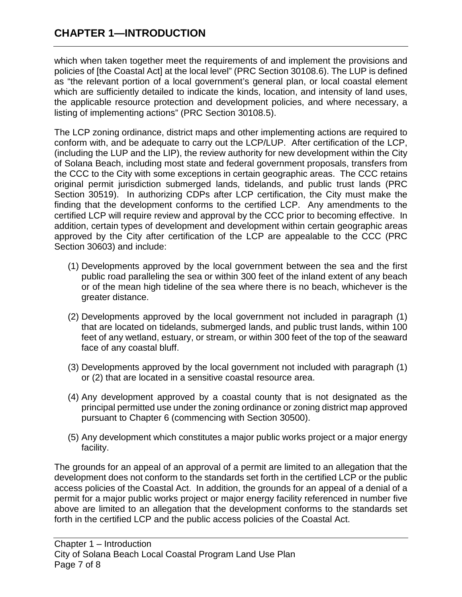which when taken together meet the requirements of and implement the provisions and policies of [the Coastal Act] at the local level" (PRC Section 30108.6). The LUP is defined as "the relevant portion of a local government's general plan, or local coastal element which are sufficiently detailed to indicate the kinds, location, and intensity of land uses, the applicable resource protection and development policies, and where necessary, a listing of implementing actions" (PRC Section 30108.5).

The LCP zoning ordinance, district maps and other implementing actions are required to conform with, and be adequate to carry out the LCP/LUP. After certification of the LCP, (including the LUP and the LIP), the review authority for new development within the City of Solana Beach, including most state and federal government proposals, transfers from the CCC to the City with some exceptions in certain geographic areas. The CCC retains original permit jurisdiction submerged lands, tidelands, and public trust lands (PRC Section 30519). In authorizing CDPs after LCP certification, the City must make the finding that the development conforms to the certified LCP. Any amendments to the certified LCP will require review and approval by the CCC prior to becoming effective. In addition, certain types of development and development within certain geographic areas approved by the City after certification of the LCP are appealable to the CCC (PRC Section 30603) and include:

- (1) Developments approved by the local government between the sea and the first public road paralleling the sea or within 300 feet of the inland extent of any beach or of the mean high tideline of the sea where there is no beach, whichever is the greater distance.
- (2) Developments approved by the local government not included in paragraph (1) that are located on tidelands, submerged lands, and public trust lands, within 100 feet of any wetland, estuary, or stream, or within 300 feet of the top of the seaward face of any coastal bluff.
- (3) Developments approved by the local government not included with paragraph (1) or (2) that are located in a sensitive coastal resource area.
- (4) Any development approved by a coastal county that is not designated as the principal permitted use under the zoning ordinance or zoning district map approved pursuant to Chapter 6 (commencing with Section 30500).
- (5) Any development which constitutes a major public works project or a major energy facility.

The grounds for an appeal of an approval of a permit are limited to an allegation that the development does not conform to the standards set forth in the certified LCP or the public access policies of the Coastal Act. In addition, the grounds for an appeal of a denial of a permit for a major public works project or major energy facility referenced in number five above are limited to an allegation that the development conforms to the standards set forth in the certified LCP and the public access policies of the Coastal Act.